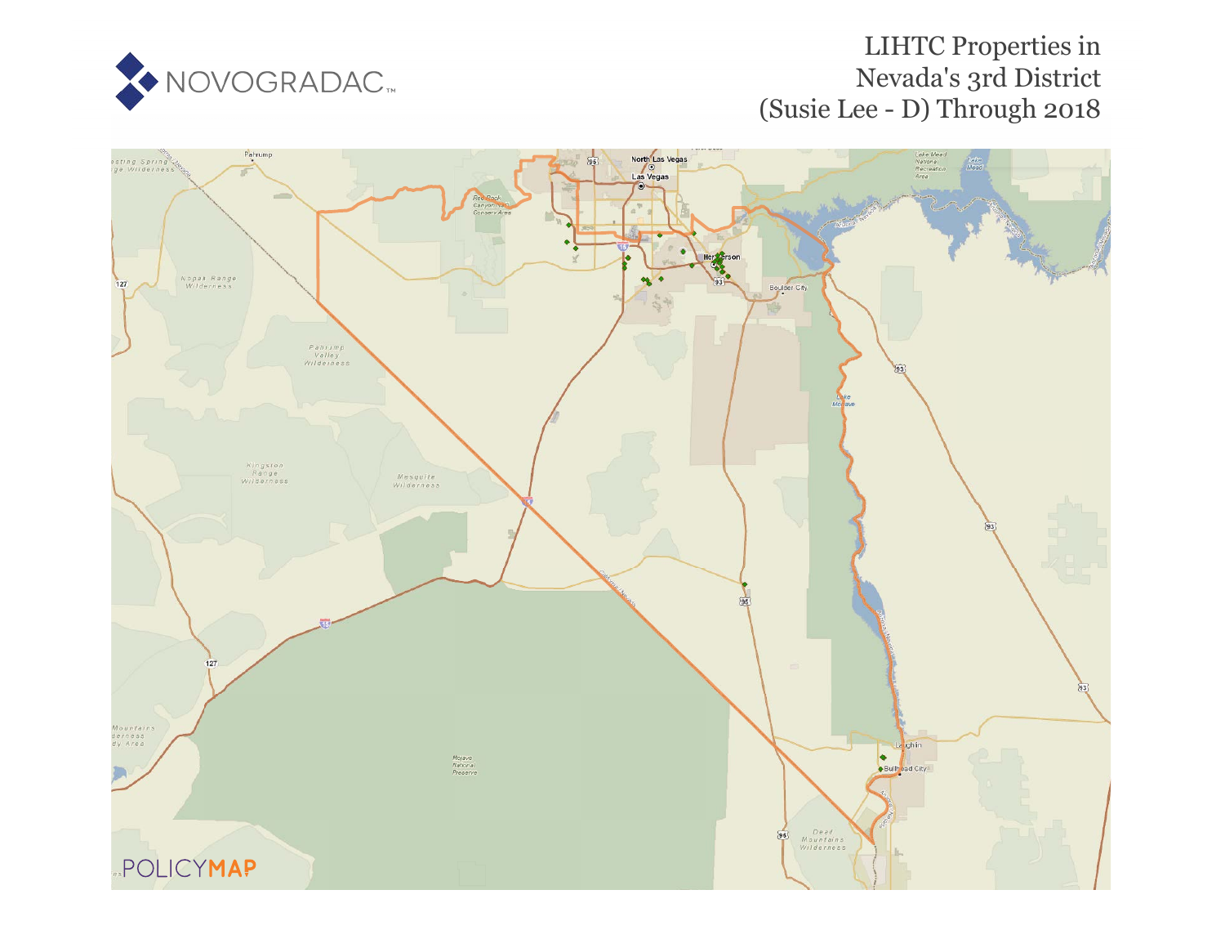

## LIHTC Propertie[s in](https://www.policymap.com/our-data-directory.html#HUD%20LIHTC) Nevada's 3rd District (Susie Lee - D) Through 2018

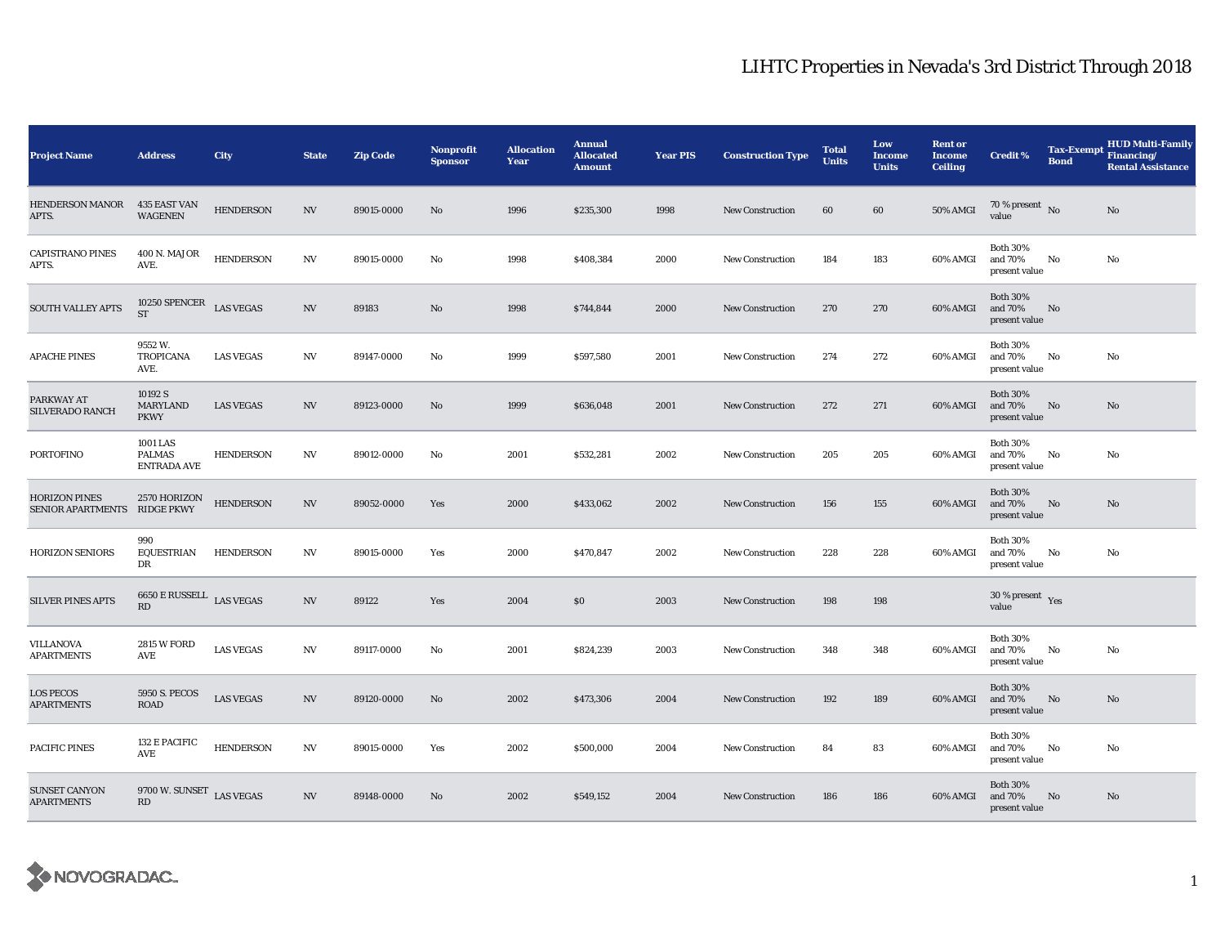## LIHTC Properties in Nevada's 3rd District Through 2018

| <b>Project Name</b>                                  | <b>Address</b>                                          | <b>City</b>      | <b>State</b>             | <b>Zip Code</b> | Nonprofit<br><b>Sponsor</b> | <b>Allocation</b><br>Year | <b>Annual</b><br><b>Allocated</b><br><b>Amount</b> | <b>Year PIS</b> | <b>Construction Type</b> | <b>Total</b><br><b>Units</b> | Low<br><b>Income</b><br><b>Units</b> | <b>Rent or</b><br><b>Income</b><br><b>Ceiling</b> | <b>Credit %</b>                             | <b>Tax-Exempt</b><br><b>Bond</b> | <b>HUD Multi-Family</b><br>Financing/<br><b>Rental Assistance</b> |
|------------------------------------------------------|---------------------------------------------------------|------------------|--------------------------|-----------------|-----------------------------|---------------------------|----------------------------------------------------|-----------------|--------------------------|------------------------------|--------------------------------------|---------------------------------------------------|---------------------------------------------|----------------------------------|-------------------------------------------------------------------|
| <b>HENDERSON MANOR</b><br>APTS.                      | 435 EAST VAN<br><b>WAGENEN</b>                          | <b>HENDERSON</b> | <b>NV</b>                | 89015-0000      | No                          | 1996                      | \$235,300                                          | 1998            | <b>New Construction</b>  | 60                           | 60                                   | <b>50% AMGI</b>                                   | 70 % present $\hbox{~No}$<br>value          |                                  | $\rm No$                                                          |
| <b>CAPISTRANO PINES</b><br>APTS.                     | 400 N. MAJOR<br>AVE.                                    | <b>HENDERSON</b> | NV                       | 89015-0000      | No                          | 1998                      | \$408,384                                          | 2000            | <b>New Construction</b>  | 184                          | 183                                  | 60% AMGI                                          | <b>Both 30%</b><br>and 70%<br>present value | No                               | No                                                                |
| <b>SOUTH VALLEY APTS</b>                             | 10250 SPENCER LAS VEGAS<br><b>ST</b>                    |                  | NV                       | 89183           | No                          | 1998                      | \$744,844                                          | 2000            | <b>New Construction</b>  | 270                          | 270                                  | 60% AMGI                                          | <b>Both 30%</b><br>and 70%<br>present value | No                               |                                                                   |
| <b>APACHE PINES</b>                                  | 9552W.<br><b>TROPICANA</b><br>AVE.                      | <b>LAS VEGAS</b> | NV                       | 89147-0000      | No                          | 1999                      | \$597,580                                          | 2001            | <b>New Construction</b>  | 274                          | 272                                  | 60% AMGI                                          | <b>Both 30%</b><br>and 70%<br>present value | No                               | No                                                                |
| PARKWAY AT<br>SILVERADO RANCH                        | 10192 S<br>MARYLAND<br><b>PKWY</b>                      | <b>LAS VEGAS</b> | <b>NV</b>                | 89123-0000      | $\mathbf{N}\mathbf{o}$      | 1999                      | \$636,048                                          | 2001            | <b>New Construction</b>  | 272                          | 271                                  | 60% AMGI                                          | <b>Both 30%</b><br>and 70%<br>present value | No                               | No                                                                |
| PORTOFINO                                            | 1001 LAS<br>PALMAS<br><b>ENTRADA AVE</b>                | <b>HENDERSON</b> | NV                       | 89012-0000      | No                          | 2001                      | \$532,281                                          | 2002            | <b>New Construction</b>  | 205                          | 205                                  | 60% AMGI                                          | <b>Both 30%</b><br>and 70%<br>present value | No                               | No                                                                |
| <b>HORIZON PINES</b><br>SENIOR APARTMENTS RIDGE PKWY | 2570 HORIZON                                            | <b>HENDERSON</b> | NV                       | 89052-0000      | Yes                         | 2000                      | \$433,062                                          | 2002            | <b>New Construction</b>  | 156                          | 155                                  | 60% AMGI                                          | <b>Both 30%</b><br>and 70%<br>present value | No                               | No                                                                |
| <b>HORIZON SENIORS</b>                               | 990<br>EQUESTRIAN<br>DR                                 | <b>HENDERSON</b> | NV                       | 89015-0000      | Yes                         | 2000                      | \$470,847                                          | 2002            | <b>New Construction</b>  | 228                          | 228                                  | 60% AMGI                                          | <b>Both 30%</b><br>and 70%<br>present value | No                               | No                                                                |
| <b>SILVER PINES APTS</b>                             | 6650 E RUSSELL $\;$ LAS VEGAS<br>$\mathbf{R}\mathbf{D}$ |                  | $\ensuremath{\text{NV}}$ | 89122           | Yes                         | 2004                      | \$0                                                | 2003            | <b>New Construction</b>  | 198                          | 198                                  |                                                   | 30 % present $\gamma_{\rm e s}$<br>value    |                                  |                                                                   |
| <b>VILLANOVA</b><br><b>APARTMENTS</b>                | 2815 W FORD<br>AVE                                      | <b>LAS VEGAS</b> | NV                       | 89117-0000      | No                          | 2001                      | \$824,239                                          | 2003            | <b>New Construction</b>  | 348                          | 348                                  | 60% AMGI                                          | <b>Both 30%</b><br>and 70%<br>present value | No                               | No                                                                |
| <b>LOS PECOS</b><br><b>APARTMENTS</b>                | 5950 S. PECOS<br><b>ROAD</b>                            | <b>LAS VEGAS</b> | NV                       | 89120-0000      | No                          | 2002                      | \$473,306                                          | 2004            | <b>New Construction</b>  | 192                          | 189                                  | 60% AMGI                                          | <b>Both 30%</b><br>and 70%<br>present value | No                               | No                                                                |
| PACIFIC PINES                                        | 132 E PACIFIC<br>AVE                                    | <b>HENDERSON</b> | NV                       | 89015-0000      | Yes                         | 2002                      | \$500,000                                          | 2004            | <b>New Construction</b>  | 84                           | 83                                   | 60% AMGI                                          | <b>Both 30%</b><br>and 70%<br>present value | No                               | No                                                                |
| <b>SUNSET CANYON</b><br><b>APARTMENTS</b>            | 9700 W. SUNSET LAS VEGAS<br>RD                          |                  | $_{\mathrm{NV}}$         | 89148-0000      | No                          | 2002                      | \$549,152                                          | 2004            | <b>New Construction</b>  | 186                          | 186                                  | 60% AMGI                                          | <b>Both 30%</b><br>and 70%<br>present value | No                               | No                                                                |

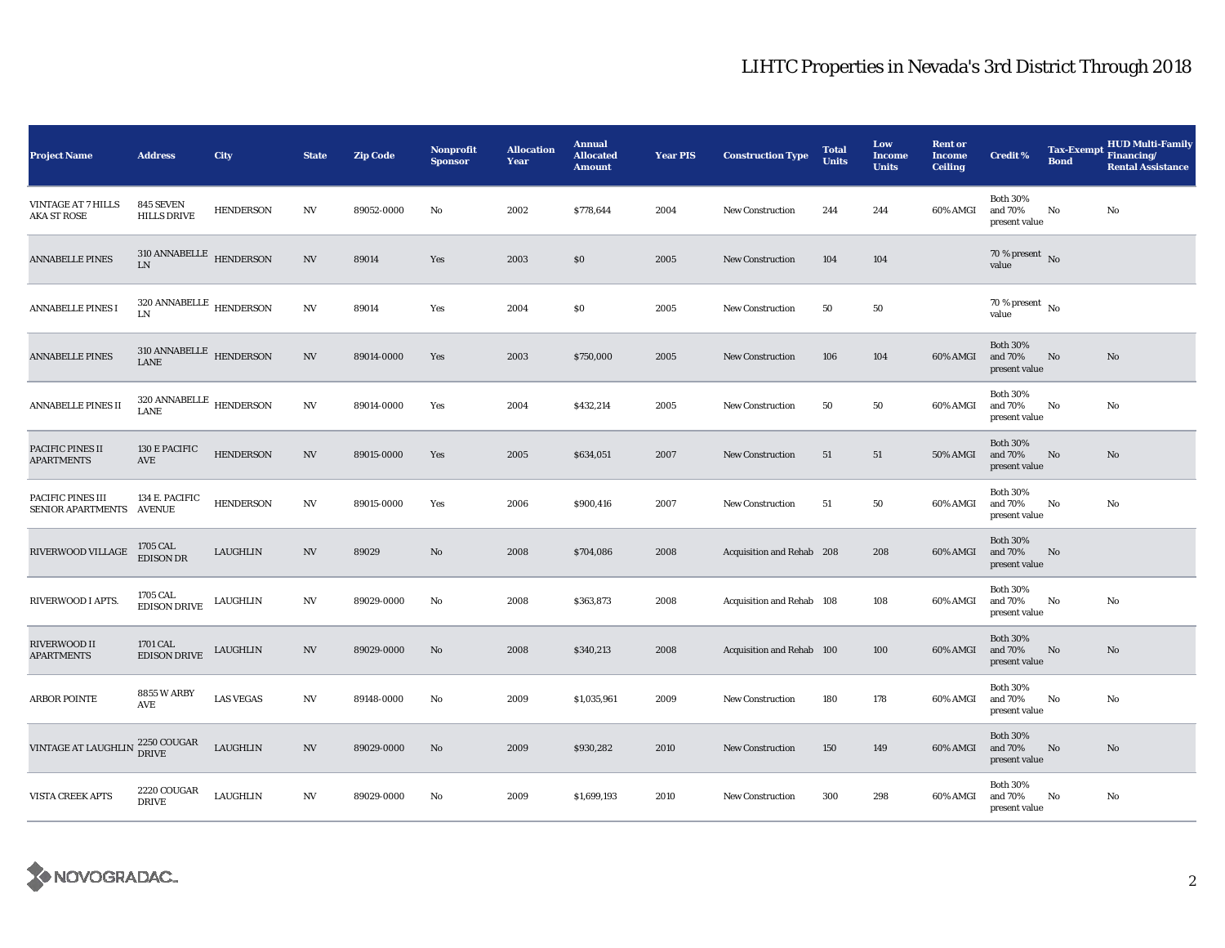## LIHTC Properties in Nevada's 3rd District Through 2018

| <b>Project Name</b>                             | <b>Address</b>                                       | City             | <b>State</b>             | <b>Zip Code</b> | Nonprofit<br><b>Sponsor</b> | <b>Allocation</b><br>Year | <b>Annual</b><br><b>Allocated</b><br><b>Amount</b> | <b>Year PIS</b> | <b>Construction Type</b>  | <b>Total</b><br><b>Units</b> | Low<br><b>Income</b><br><b>Units</b> | <b>Rent or</b><br><b>Income</b><br><b>Ceiling</b> | <b>Credit %</b>                             | <b>Tax-Exempt</b><br><b>Bond</b> | <b>HUD Multi-Family</b><br>Financing/<br><b>Rental Assistance</b> |
|-------------------------------------------------|------------------------------------------------------|------------------|--------------------------|-----------------|-----------------------------|---------------------------|----------------------------------------------------|-----------------|---------------------------|------------------------------|--------------------------------------|---------------------------------------------------|---------------------------------------------|----------------------------------|-------------------------------------------------------------------|
| <b>VINTAGE AT 7 HILLS</b><br><b>AKA ST ROSE</b> | 845 SEVEN<br><b>HILLS DRIVE</b>                      | <b>HENDERSON</b> | $_{\mathrm{NV}}$         | 89052-0000      | No                          | 2002                      | \$778,644                                          | 2004            | <b>New Construction</b>   | 244                          | 244                                  | 60% AMGI                                          | <b>Both 30%</b><br>and 70%<br>present value | No                               | $\rm No$                                                          |
| <b>ANNABELLE PINES</b>                          | $310$ ANNABELLE $$\tt HENDERSON$$<br>${\rm LN}$      |                  | $\ensuremath{\text{NV}}$ | 89014           | Yes                         | 2003                      | $\$0$                                              | 2005            | <b>New Construction</b>   | 104                          | 104                                  |                                                   | 70 % present $\,$ No $\,$<br>value          |                                  |                                                                   |
| <b>ANNABELLE PINES I</b>                        | $320$ ANNABELLE $\,$ HENDERSON $\,$<br>$\text{LN}{}$ |                  | $_{\mathrm{NV}}$         | 89014           | Yes                         | 2004                      | \$0                                                | 2005            | <b>New Construction</b>   | 50                           | 50                                   |                                                   | $70$ % present $\,$ No $\,$<br>value        |                                  |                                                                   |
| <b>ANNABELLE PINES</b>                          | $310$ ANNABELLE $\,$ HENDERSON<br>LANE               |                  | $\ensuremath{\text{NV}}$ | 89014-0000      | Yes                         | 2003                      | \$750,000                                          | 2005            | <b>New Construction</b>   | 106                          | 104                                  | 60% AMGI                                          | <b>Both 30%</b><br>and 70%<br>present value | No                               | No                                                                |
| ANNABELLE PINES II                              | $320$ ANNABELLE $$\tt HENDERSON$$<br>LANE            |                  | $_{\mathrm{NV}}$         | 89014-0000      | Yes                         | 2004                      | \$432,214                                          | 2005            | New Construction          | 50                           | 50                                   | 60% AMGI                                          | <b>Both 30%</b><br>and 70%<br>present value | No                               | No                                                                |
| PACIFIC PINES II<br><b>APARTMENTS</b>           | 130 E PACIFIC<br>AVE                                 | <b>HENDERSON</b> | N V                      | 89015-0000      | Yes                         | 2005                      | \$634,051                                          | 2007            | New Construction          | 51                           | 51                                   | 50% AMGI                                          | <b>Both 30%</b><br>and 70%<br>present value | No                               | No                                                                |
| PACIFIC PINES III<br>SENIOR APARTMENTS AVENUE   | 134 E. PACIFIC                                       | <b>HENDERSON</b> | $_{\mathrm{NV}}$         | 89015-0000      | Yes                         | 2006                      | \$900,416                                          | 2007            | <b>New Construction</b>   | 51                           | 50                                   | 60% AMGI                                          | <b>Both 30%</b><br>and 70%<br>present value | No                               | No                                                                |
| RIVERWOOD VILLAGE                               | 1705 CAL<br><b>EDISON DR</b>                         | LAUGHLIN         | N V                      | 89029           | No                          | 2008                      | \$704,086                                          | 2008            | Acquisition and Rehab 208 |                              | 208                                  | 60% AMGI                                          | <b>Both 30%</b><br>and 70%<br>present value | No                               |                                                                   |
| RIVERWOOD I APTS.                               | 1705 CAL<br><b>EDISON DRIVE</b>                      | LAUGHLIN         | $\mathbf{N}\mathbf{V}$   | 89029-0000      | No                          | 2008                      | \$363,873                                          | 2008            | Acquisition and Rehab 108 |                              | 108                                  | 60% AMGI                                          | <b>Both 30%</b><br>and 70%<br>present value | No                               | No                                                                |
| RIVERWOOD II<br><b>APARTMENTS</b>               | 1701 CAL<br><b>EDISON DRIVE</b>                      | LAUGHLIN         | N V                      | 89029-0000      | No                          | 2008                      | \$340,213                                          | 2008            | Acquisition and Rehab 100 |                              | 100                                  | 60% AMGI                                          | <b>Both 30%</b><br>and 70%<br>present value | No                               | $\rm No$                                                          |
| <b>ARBOR POINTE</b>                             | <b>8855 W ARBY</b><br>AVE                            | <b>LAS VEGAS</b> | N V                      | 89148-0000      | No                          | 2009                      | \$1,035,961                                        | 2009            | <b>New Construction</b>   | 180                          | 178                                  | 60% AMGI                                          | <b>Both 30%</b><br>and 70%<br>present value | No                               | No                                                                |
| VINTAGE AT LAUGHLIN PRIVE                       | 2250 COUGAR                                          | LAUGHLIN         | N V                      | 89029-0000      | No                          | 2009                      | \$930,282                                          | 2010            | <b>New Construction</b>   | 150                          | 149                                  | 60% AMGI                                          | <b>Both 30%</b><br>and 70%<br>present value | No                               | $\rm No$                                                          |
| VISTA CREEK APTS                                | 2220 COUGAR<br><b>DRIVE</b>                          | LAUGHLIN         | N V                      | 89029-0000      | No                          | 2009                      | \$1,699,193                                        | 2010            | <b>New Construction</b>   | 300                          | 298                                  | 60% AMGI                                          | <b>Both 30%</b><br>and 70%<br>present value | No                               | No                                                                |

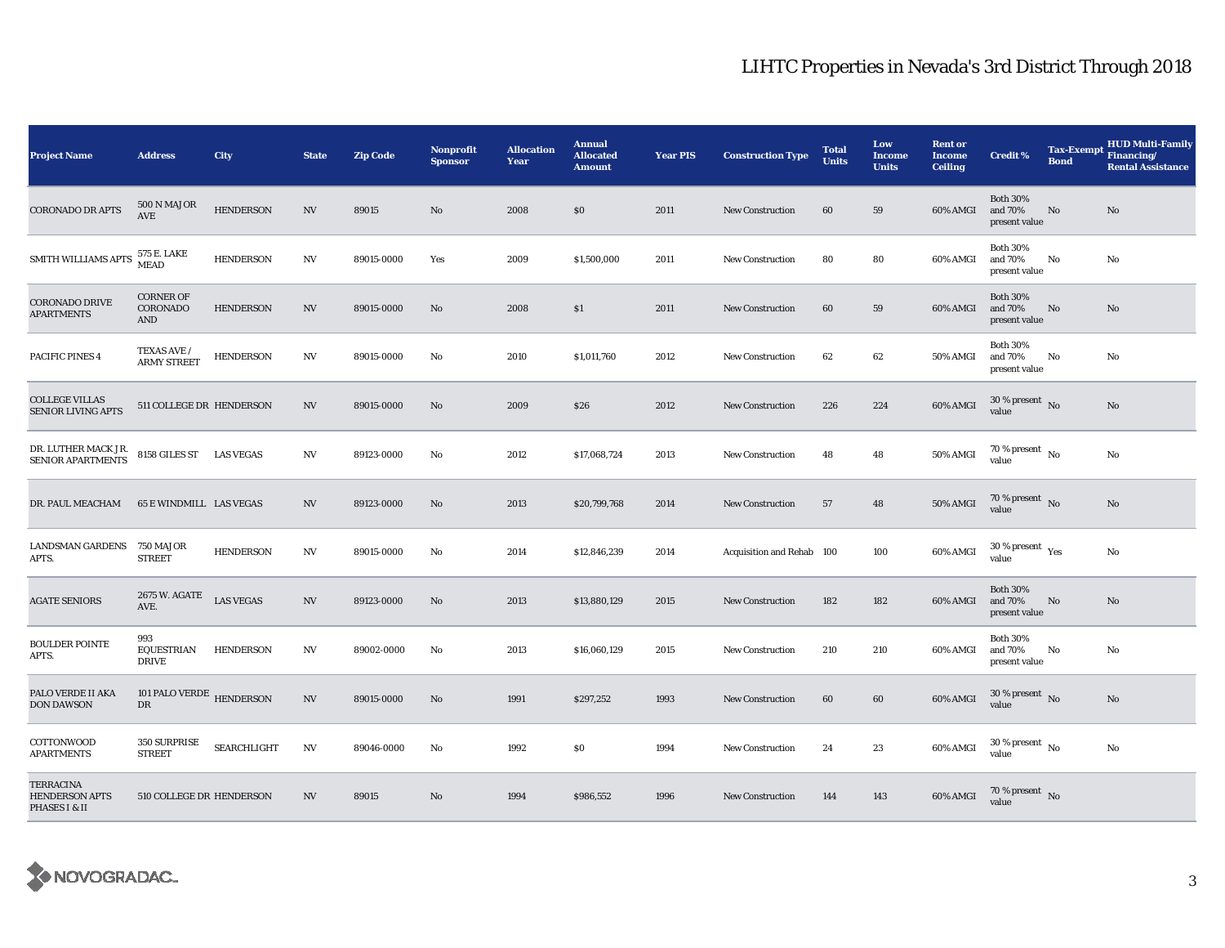## LIHTC Properties in Nevada's 3rd District Through 2018

| <b>Project Name</b>                                        | <b>Address</b>                             | City             | <b>State</b>             | <b>Zip Code</b> | Nonprofit<br><b>Sponsor</b> | <b>Allocation</b><br>Year | <b>Annual</b><br><b>Allocated</b><br><b>Amount</b> | <b>Year PIS</b> | <b>Construction Type</b>  | <b>Total</b><br><b>Units</b> | Low<br><b>Income</b><br><b>Units</b> | <b>Rent or</b><br><b>Income</b><br><b>Ceiling</b> | <b>Credit %</b>                             | <b>Tax-Exempt</b><br><b>Bond</b> | <b>HUD Multi-Family</b><br>Financing/<br><b>Rental Assistance</b> |
|------------------------------------------------------------|--------------------------------------------|------------------|--------------------------|-----------------|-----------------------------|---------------------------|----------------------------------------------------|-----------------|---------------------------|------------------------------|--------------------------------------|---------------------------------------------------|---------------------------------------------|----------------------------------|-------------------------------------------------------------------|
| <b>CORONADO DR APTS</b>                                    | 500 N MAJOR<br>AVE                         | <b>HENDERSON</b> | <b>NV</b>                | 89015           | No                          | 2008                      | $\$0$                                              | 2011            | <b>New Construction</b>   | 60                           | 59                                   | 60% AMGI                                          | <b>Both 30%</b><br>and 70%<br>present value | No                               | No                                                                |
| SMITH WILLIAMS APTS                                        | 575 E. LAKE<br><b>MEAD</b>                 | <b>HENDERSON</b> | $\ensuremath{\text{NV}}$ | 89015-0000      | Yes                         | 2009                      | \$1,500,000                                        | 2011            | <b>New Construction</b>   | 80                           | 80                                   | 60% AMGI                                          | <b>Both 30%</b><br>and 70%<br>present value | No                               | No                                                                |
| <b>CORONADO DRIVE</b><br><b>APARTMENTS</b>                 | <b>CORNER OF</b><br>CORONADO<br><b>AND</b> | <b>HENDERSON</b> | <b>NV</b>                | 89015-0000      | No                          | 2008                      | \$1                                                | 2011            | <b>New Construction</b>   | 60                           | 59                                   | 60% AMGI                                          | <b>Both 30%</b><br>and 70%<br>present value | No                               | No                                                                |
| PACIFIC PINES 4                                            | TEXAS AVE /<br><b>ARMY STREET</b>          | <b>HENDERSON</b> | <b>NV</b>                | 89015-0000      | No                          | 2010                      | \$1,011,760                                        | 2012            | <b>New Construction</b>   | 62                           | 62                                   | 50% AMGI                                          | <b>Both 30%</b><br>and 70%<br>present value | No                               | No                                                                |
| <b>COLLEGE VILLAS</b><br><b>SENIOR LIVING APTS</b>         | 511 COLLEGE DR HENDERSON                   |                  | NV                       | 89015-0000      | No                          | 2009                      | \$26                                               | 2012            | <b>New Construction</b>   | 226                          | 224                                  | 60% AMGI                                          | $30$ % present $\,$ No $\,$<br>value        |                                  | No                                                                |
| DR. LUTHER MACK JR.<br>SENIOR APARTMENTS                   | 8158 GILES ST LAS VEGAS                    |                  | N V                      | 89123-0000      | No                          | 2012                      | \$17,068,724                                       | 2013            | <b>New Construction</b>   | 48                           | 48                                   | 50% AMGI                                          | $70$ % present $\,$ No $\,$<br>value        |                                  | No                                                                |
| DR. PAUL MEACHAM                                           | <b>65 E WINDMILL LAS VEGAS</b>             |                  | <b>NV</b>                | 89123-0000      | $\mathbf{N}\mathbf{o}$      | 2013                      | \$20,799,768                                       | 2014            | <b>New Construction</b>   | 57                           | 48                                   | 50% AMGI                                          | 70 % present $\,$ No $\,$<br>value          |                                  | No                                                                |
| LANDSMAN GARDENS 750 MAJOR<br>APTS.                        | <b>STREET</b>                              | <b>HENDERSON</b> | <b>NV</b>                | 89015-0000      | No                          | 2014                      | \$12,846,239                                       | 2014            | Acquisition and Rehab 100 |                              | 100                                  | 60% AMGI                                          | $30$ % present $\,$ $\rm Yes$<br>value      |                                  | No                                                                |
| <b>AGATE SENIORS</b>                                       | 2675 W. AGATE<br>AVE.                      | <b>LAS VEGAS</b> | $\ensuremath{\text{NV}}$ | 89123-0000      | No                          | 2013                      | \$13,880,129                                       | 2015            | <b>New Construction</b>   | 182                          | 182                                  | 60% AMGI                                          | <b>Both 30%</b><br>and 70%<br>present value | No                               | No                                                                |
| <b>BOULDER POINTE</b><br>APTS.                             | 993<br>EQUESTRIAN<br><b>DRIVE</b>          | <b>HENDERSON</b> | NV                       | 89002-0000      | No                          | 2013                      | \$16,060,129                                       | 2015            | <b>New Construction</b>   | 210                          | 210                                  | 60% AMGI                                          | <b>Both 30%</b><br>and 70%<br>present value | No                               | No                                                                |
| PALO VERDE II AKA<br><b>DON DAWSON</b>                     | 101 PALO VERDE $$\tt HENDERSON$$<br>DR     |                  | <b>NV</b>                | 89015-0000      | No                          | 1991                      | \$297,252                                          | 1993            | <b>New Construction</b>   | 60                           | 60                                   | 60% AMGI                                          | $30$ % present $\,$ No $\,$<br>value        |                                  | No                                                                |
| COTTONWOOD<br>APARTMENTS                                   | 350 SURPRISE<br><b>STREET</b>              | SEARCHLIGHT      | NV                       | 89046-0000      | No                          | 1992                      | \$0                                                | 1994            | <b>New Construction</b>   | 24                           | 23                                   | 60% AMGI                                          | $30$ % present $\,$ No $\,$<br>value        |                                  | No                                                                |
| <b>TERRACINA</b><br><b>HENDERSON APTS</b><br>PHASES I & II | 510 COLLEGE DR HENDERSON                   |                  | <b>NV</b>                | 89015           | No                          | 1994                      | \$986,552                                          | 1996            | <b>New Construction</b>   | 144                          | 143                                  | 60% AMGI                                          | 70 % present $\,$ No $\,$<br>value          |                                  |                                                                   |